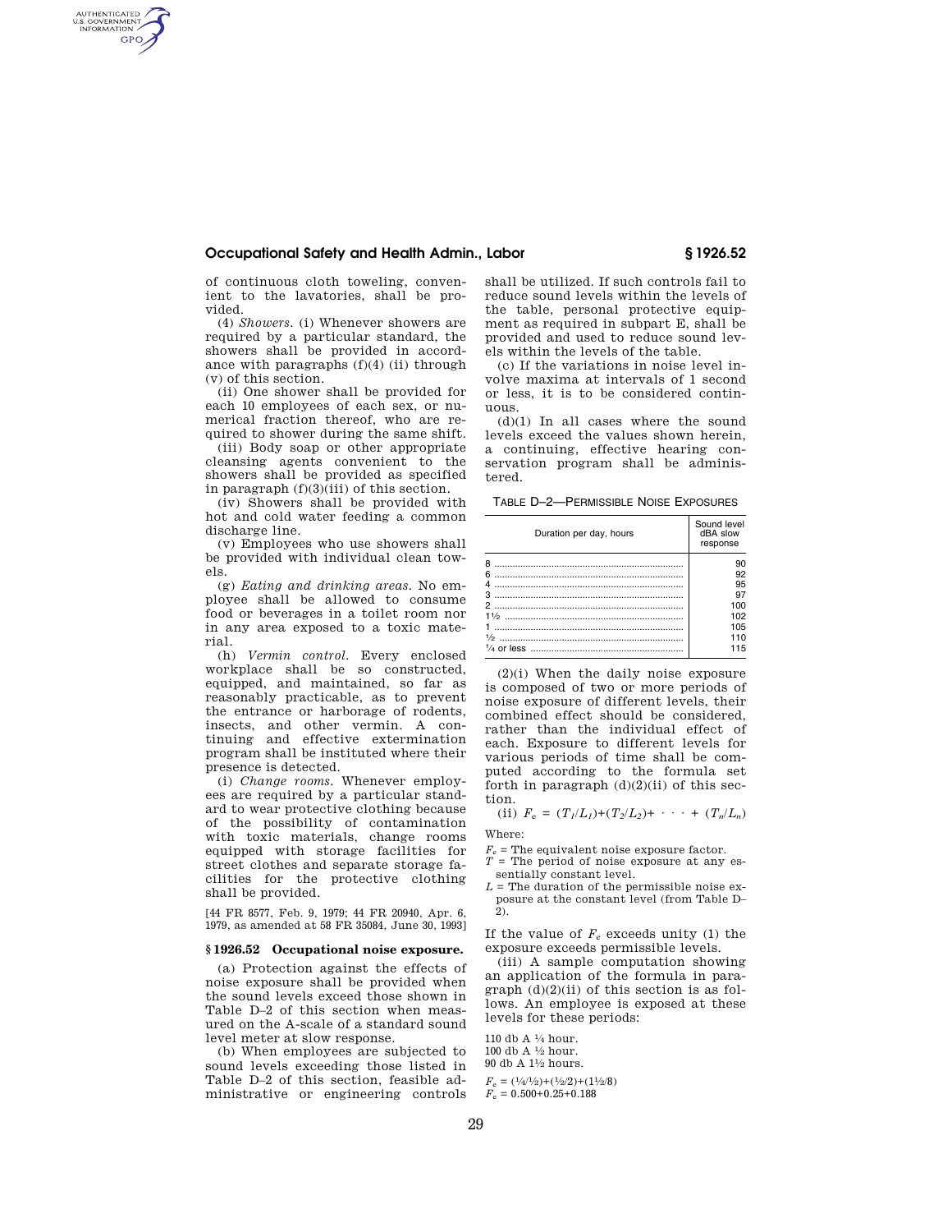# **Occupational Safety and Health Admin., Labor § 1926.52**

of continuous cloth toweling, convenient to the lavatories, shall be provided.

AUTHENTICATED<br>U.S. GOVERNMENT<br>INFORMATION GPO

> (4) *Showers.* (i) Whenever showers are required by a particular standard, the showers shall be provided in accordance with paragraphs  $(f)(4)$  (ii) through (v) of this section.

> (ii) One shower shall be provided for each 10 employees of each sex, or numerical fraction thereof, who are required to shower during the same shift.

> (iii) Body soap or other appropriate cleansing agents convenient to the showers shall be provided as specified in paragraph  $(f)(3)(iii)$  of this section.

> (iv) Showers shall be provided with hot and cold water feeding a common discharge line.

> (v) Employees who use showers shall be provided with individual clean towels.

> (g) *Eating and drinking areas.* No employee shall be allowed to consume food or beverages in a toilet room nor in any area exposed to a toxic material.

> (h) *Vermin control.* Every enclosed workplace shall be so constructed, equipped, and maintained, so far as reasonably practicable, as to prevent the entrance or harborage of rodents, insects, and other vermin. A continuing and effective extermination program shall be instituted where their presence is detected.

> (i) *Change rooms.* Whenever employees are required by a particular standard to wear protective clothing because of the possibility of contamination with toxic materials, change rooms equipped with storage facilities for street clothes and separate storage facilities for the protective clothing shall be provided.

[44 FR 8577, Feb. 9, 1979; 44 FR 20940, Apr. 6, 1979, as amended at 58 FR 35084, June 30, 1993]

#### **§ 1926.52 Occupational noise exposure.**

(a) Protection against the effects of noise exposure shall be provided when the sound levels exceed those shown in Table D–2 of this section when measured on the A-scale of a standard sound level meter at slow response.

(b) When employees are subjected to sound levels exceeding those listed in Table D–2 of this section, feasible administrative or engineering controls shall be utilized. If such controls fail to reduce sound levels within the levels of the table, personal protective equipment as required in subpart E, shall be provided and used to reduce sound levels within the levels of the table.

(c) If the variations in noise level involve maxima at intervals of 1 second or less, it is to be considered continuous.

(d)(1) In all cases where the sound levels exceed the values shown herein, a continuing, effective hearing conservation program shall be administered.

TABLE D–2—PERMISSIBLE NOISE EXPOSURES

| Duration per day, hours | Sound level<br>dBA slow<br>response |
|-------------------------|-------------------------------------|
|                         | 90                                  |
|                         | 92                                  |
|                         | 95                                  |
|                         | 97                                  |
|                         | 100                                 |
|                         | 102                                 |
|                         | 105                                 |
|                         | 110                                 |
|                         | 115                                 |
|                         |                                     |

(2)(i) When the daily noise exposure is composed of two or more periods of noise exposure of different levels, their combined effect should be considered, rather than the individual effect of each. Exposure to different levels for various periods of time shall be computed according to the formula set forth in paragraph  $(d)(2)(ii)$  of this section.

(ii)  $F_e = (T_1/L_1) + (T_2/L_2) + \cdots + (T_n/L_n)$ 

Where:

- $F_e$  = The equivalent noise exposure factor.  $T =$  The period of noise exposure at any es-
- sentially constant level.
- $L$  = The duration of the permissible noise exposure at the constant level (from Table D– 2).

If the value of  $F_e$  exceeds unity (1) the exposure exceeds permissible levels.

(iii) A sample computation showing an application of the formula in paragraph  $(d)(2)(ii)$  of this section is as follows. An employee is exposed at these levels for these periods:

110 db A 1⁄4 hour. 100 db A  $1/2$  hour. 90 db A 11⁄2 hours.

 $F_e = (1/4/1/2) + (1/2/2) + (11/2/8)$  $F_e = 0.500 + 0.25 + 0.188$